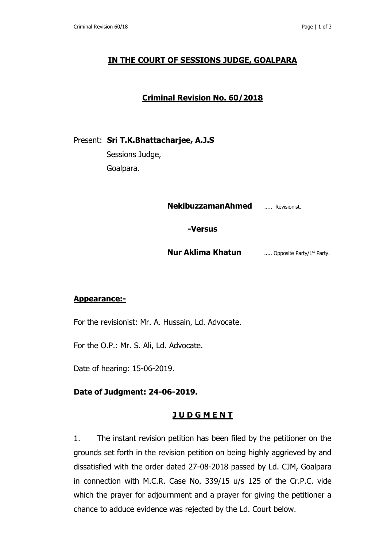## **IN THE COURT OF SESSIONS JUDGE, GOALPARA**

# **Criminal Revision No. 60/2018**

Present: **Sri T.K.Bhattacharjee, A.J.S**

 Sessions Judge, Goalpara.

**NekibuzzamanAhmed** ..... Revisionist.

**-Versus**

**Nur Aklima Khatun** ...... Opposite Party/1<sup>st</sup> Party.

### **Appearance:-**

For the revisionist: Mr. A. Hussain, Ld. Advocate.

For the O.P.: Mr. S. Ali, Ld. Advocate.

Date of hearing: 15-06-2019.

### **Date of Judgment: 24-06-2019.**

### **J U D G M E N T**

1. The instant revision petition has been filed by the petitioner on the grounds set forth in the revision petition on being highly aggrieved by and dissatisfied with the order dated 27-08-2018 passed by Ld. CJM, Goalpara in connection with M.C.R. Case No. 339/15 u/s 125 of the Cr.P.C. vide which the prayer for adjournment and a prayer for giving the petitioner a chance to adduce evidence was rejected by the Ld. Court below.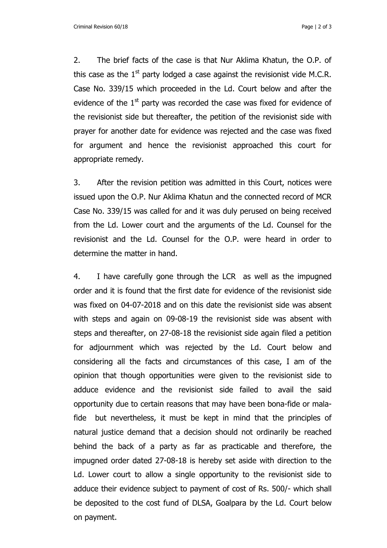Criminal Revision 60/18 Page | 2 of 3

2. The brief facts of the case is that Nur Aklima Khatun, the O.P. of this case as the  $1<sup>st</sup>$  party lodged a case against the revisionist vide M.C.R. Case No. 339/15 which proceeded in the Ld. Court below and after the evidence of the  $1<sup>st</sup>$  party was recorded the case was fixed for evidence of the revisionist side but thereafter, the petition of the revisionist side with prayer for another date for evidence was rejected and the case was fixed for argument and hence the revisionist approached this court for appropriate remedy.

3. After the revision petition was admitted in this Court, notices were issued upon the O.P. Nur Aklima Khatun and the connected record of MCR Case No. 339/15 was called for and it was duly perused on being received from the Ld. Lower court and the arguments of the Ld. Counsel for the revisionist and the Ld. Counsel for the O.P. were heard in order to determine the matter in hand.

4. I have carefully gone through the LCR as well as the impugned order and it is found that the first date for evidence of the revisionist side was fixed on 04-07-2018 and on this date the revisionist side was absent with steps and again on 09-08-19 the revisionist side was absent with steps and thereafter, on 27-08-18 the revisionist side again filed a petition for adjournment which was rejected by the Ld. Court below and considering all the facts and circumstances of this case, I am of the opinion that though opportunities were given to the revisionist side to adduce evidence and the revisionist side failed to avail the said opportunity due to certain reasons that may have been bona-fide or malafide but nevertheless, it must be kept in mind that the principles of natural justice demand that a decision should not ordinarily be reached behind the back of a party as far as practicable and therefore, the impugned order dated 27-08-18 is hereby set aside with direction to the Ld. Lower court to allow a single opportunity to the revisionist side to adduce their evidence subject to payment of cost of Rs. 500/- which shall be deposited to the cost fund of DLSA, Goalpara by the Ld. Court below on payment.